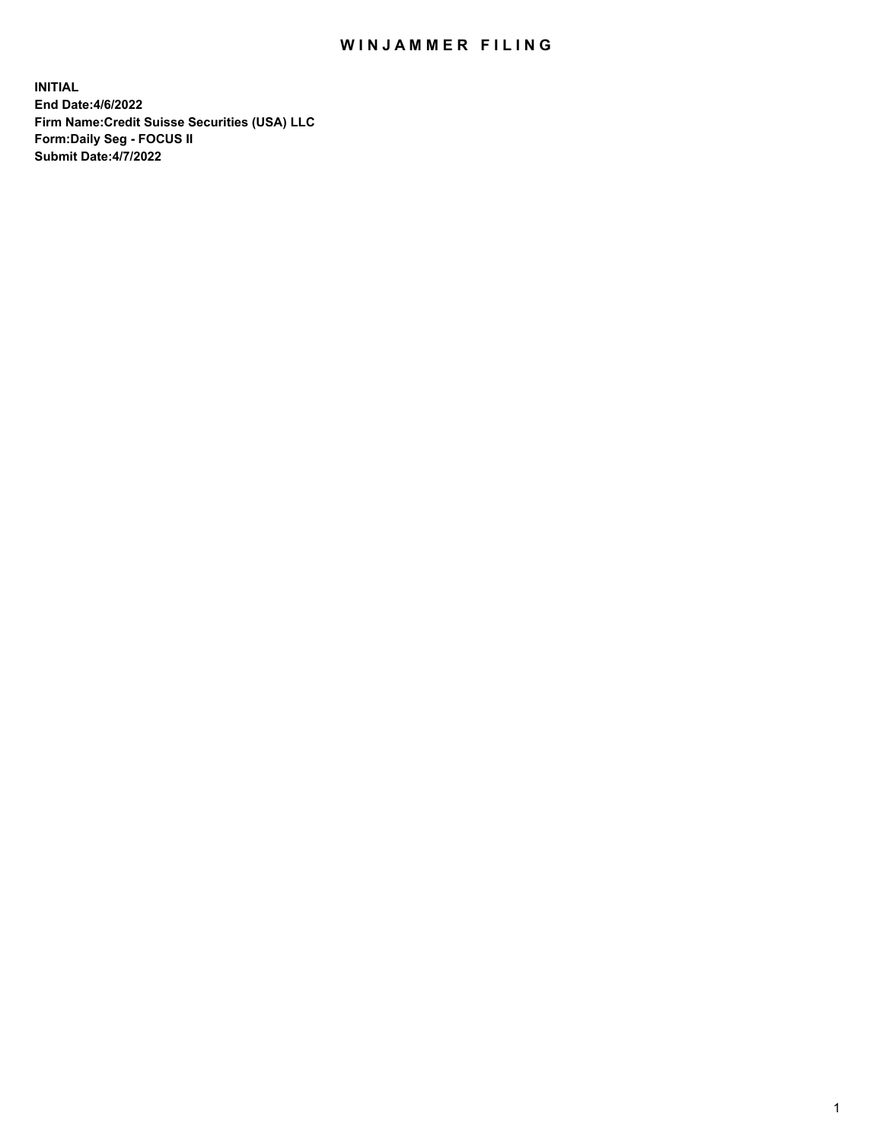## WIN JAMMER FILING

**INITIAL End Date:4/6/2022 Firm Name:Credit Suisse Securities (USA) LLC Form:Daily Seg - FOCUS II Submit Date:4/7/2022**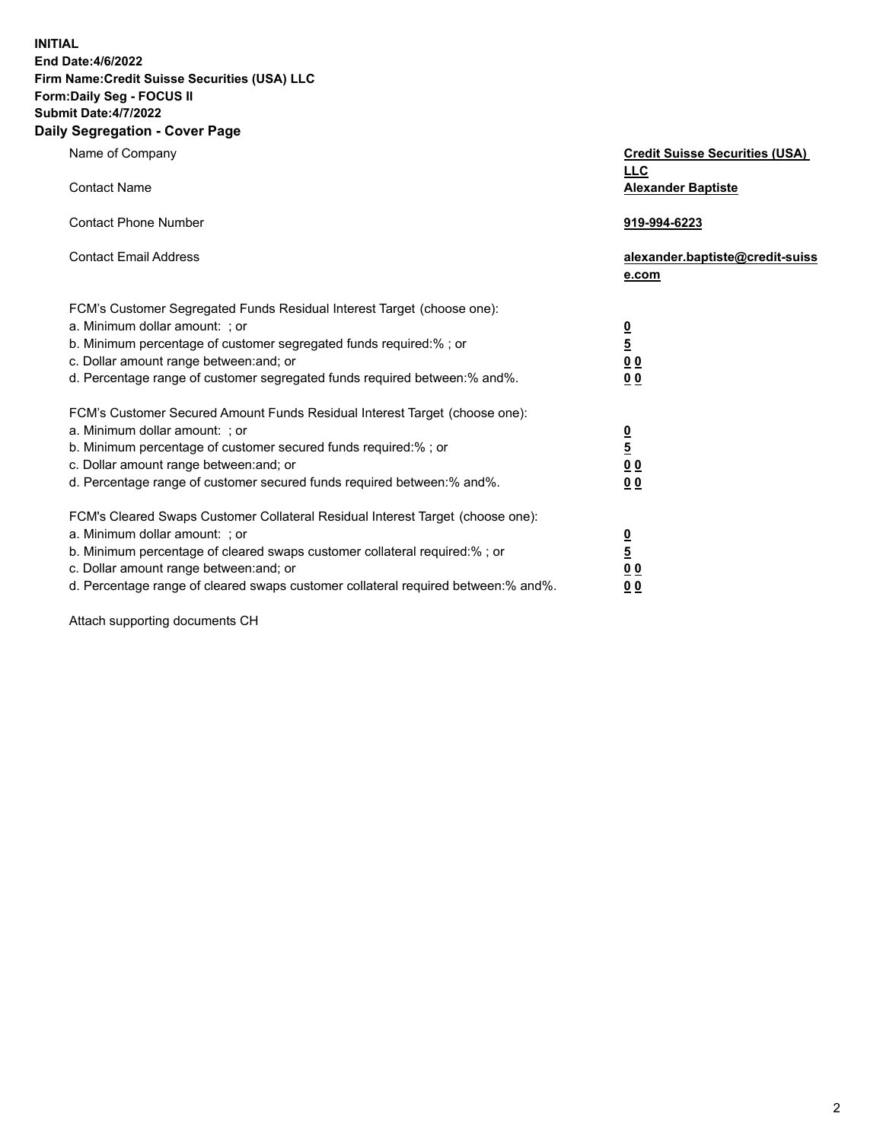**INITIAL**

### **End Date:4/6/2022 Firm Name:Credit Suisse Securities (USA) LLC Form:Daily Seg - FOCUS II Submit Date:4/7/2022**

# **Daily Segregation - Cover Page**

| Name of Company                                                                                                                                                                                                                                                                                                                | <b>Credit Suisse Securities (USA)</b><br><u>LLC</u> |
|--------------------------------------------------------------------------------------------------------------------------------------------------------------------------------------------------------------------------------------------------------------------------------------------------------------------------------|-----------------------------------------------------|
| <b>Contact Name</b>                                                                                                                                                                                                                                                                                                            | <b>Alexander Baptiste</b>                           |
| <b>Contact Phone Number</b>                                                                                                                                                                                                                                                                                                    | 919-994-6223                                        |
| <b>Contact Email Address</b>                                                                                                                                                                                                                                                                                                   | alexander.baptiste@credit-suiss<br>e.com            |
| FCM's Customer Segregated Funds Residual Interest Target (choose one):<br>a. Minimum dollar amount: ; or<br>b. Minimum percentage of customer segregated funds required:%; or<br>c. Dollar amount range between: and; or<br>d. Percentage range of customer segregated funds required between: % and %.                        | $\frac{0}{\frac{5}{0}}$<br>0 <sub>0</sub>           |
| FCM's Customer Secured Amount Funds Residual Interest Target (choose one):<br>a. Minimum dollar amount: ; or<br>b. Minimum percentage of customer secured funds required:%; or<br>c. Dollar amount range between: and; or<br>d. Percentage range of customer secured funds required between:% and%.                            | $\frac{0}{\frac{5}{0}}$<br>0 <sub>0</sub>           |
| FCM's Cleared Swaps Customer Collateral Residual Interest Target (choose one):<br>a. Minimum dollar amount: : or<br>b. Minimum percentage of cleared swaps customer collateral required:% ; or<br>c. Dollar amount range between: and; or<br>d. Percentage range of cleared swaps customer collateral required between:% and%. | $\frac{0}{5}$<br>0 <sub>0</sub><br>00               |

Attach supporting documents CH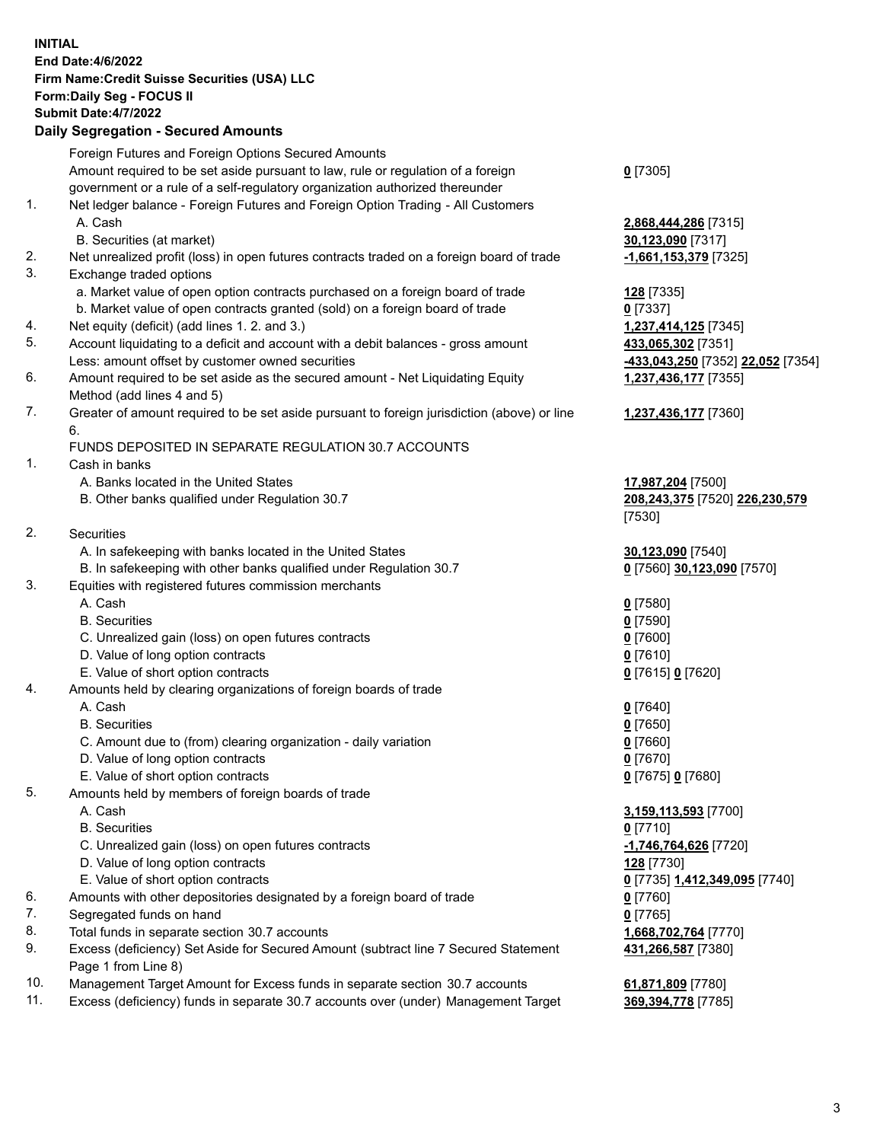## **INITIAL End Date:4/6/2022 Firm Name:Credit Suisse Securities (USA) LLC Form:Daily Seg - FOCUS II Submit Date:4/7/2022**

## **Daily Segregation - Secured Amounts**

|     | Foreign Futures and Foreign Options Secured Amounts                                         |                                   |
|-----|---------------------------------------------------------------------------------------------|-----------------------------------|
|     | Amount required to be set aside pursuant to law, rule or regulation of a foreign            | $0$ [7305]                        |
|     | government or a rule of a self-regulatory organization authorized thereunder                |                                   |
| 1.  | Net ledger balance - Foreign Futures and Foreign Option Trading - All Customers             |                                   |
|     | A. Cash                                                                                     | 2,868,444,286 [7315]              |
|     | B. Securities (at market)                                                                   | 30,123,090 [7317]                 |
| 2.  | Net unrealized profit (loss) in open futures contracts traded on a foreign board of trade   | -1,661,153,379 [7325]             |
| 3.  | Exchange traded options                                                                     |                                   |
|     | a. Market value of open option contracts purchased on a foreign board of trade              | <b>128</b> [7335]                 |
|     | b. Market value of open contracts granted (sold) on a foreign board of trade                | $0$ [7337]                        |
| 4.  | Net equity (deficit) (add lines 1. 2. and 3.)                                               | 1,237,414,125 [7345]              |
| 5.  | Account liquidating to a deficit and account with a debit balances - gross amount           | 433,065,302 [7351]                |
|     | Less: amount offset by customer owned securities                                            |                                   |
| 6.  |                                                                                             | -433,043,250 [7352] 22,052 [7354] |
|     | Amount required to be set aside as the secured amount - Net Liquidating Equity              | 1,237,436,177 [7355]              |
| 7.  | Method (add lines 4 and 5)                                                                  |                                   |
|     | Greater of amount required to be set aside pursuant to foreign jurisdiction (above) or line | 1,237,436,177 [7360]              |
|     | 6.                                                                                          |                                   |
|     | FUNDS DEPOSITED IN SEPARATE REGULATION 30.7 ACCOUNTS                                        |                                   |
| 1.  | Cash in banks                                                                               |                                   |
|     | A. Banks located in the United States                                                       | 17,987,204 [7500]                 |
|     | B. Other banks qualified under Regulation 30.7                                              | 208,243,375 [7520] 226,230,579    |
|     |                                                                                             | [7530]                            |
| 2.  | Securities                                                                                  |                                   |
|     | A. In safekeeping with banks located in the United States                                   | 30,123,090 [7540]                 |
|     | B. In safekeeping with other banks qualified under Regulation 30.7                          | 0 [7560] 30,123,090 [7570]        |
| 3.  | Equities with registered futures commission merchants                                       |                                   |
|     | A. Cash                                                                                     | $0$ [7580]                        |
|     | <b>B.</b> Securities                                                                        | $0$ [7590]                        |
|     | C. Unrealized gain (loss) on open futures contracts                                         | $0$ [7600]                        |
|     | D. Value of long option contracts                                                           | $0$ [7610]                        |
|     | E. Value of short option contracts                                                          | 0 [7615] 0 [7620]                 |
| 4.  | Amounts held by clearing organizations of foreign boards of trade                           |                                   |
|     | A. Cash                                                                                     | $0$ [7640]                        |
|     | <b>B.</b> Securities                                                                        | $0$ [7650]                        |
|     | C. Amount due to (from) clearing organization - daily variation                             | $0$ [7660]                        |
|     | D. Value of long option contracts                                                           | $0$ [7670]                        |
|     | E. Value of short option contracts                                                          | 0 [7675] 0 [7680]                 |
| 5.  | Amounts held by members of foreign boards of trade                                          |                                   |
|     | A. Cash                                                                                     | 3,159,113,593 [7700]              |
|     | <b>B.</b> Securities                                                                        | $0$ [7710]                        |
|     | C. Unrealized gain (loss) on open futures contracts                                         | -1,746,764,626 [7720]             |
|     | D. Value of long option contracts                                                           | 128 [7730]                        |
|     | E. Value of short option contracts                                                          | 0 [7735] 1,412,349,095 [7740]     |
| 6.  | Amounts with other depositories designated by a foreign board of trade                      | 0 [7760]                          |
| 7.  | Segregated funds on hand                                                                    | $0$ [7765]                        |
| 8.  | Total funds in separate section 30.7 accounts                                               | 1,668,702,764 [7770]              |
| 9.  | Excess (deficiency) Set Aside for Secured Amount (subtract line 7 Secured Statement         | 431,266,587 [7380]                |
|     | Page 1 from Line 8)                                                                         |                                   |
| 10. | Management Target Amount for Excess funds in separate section 30.7 accounts                 | 61,871,809 [7780]                 |
|     |                                                                                             |                                   |

11. Excess (deficiency) funds in separate 30.7 accounts over (under) Management Target **369,394,778** [7785]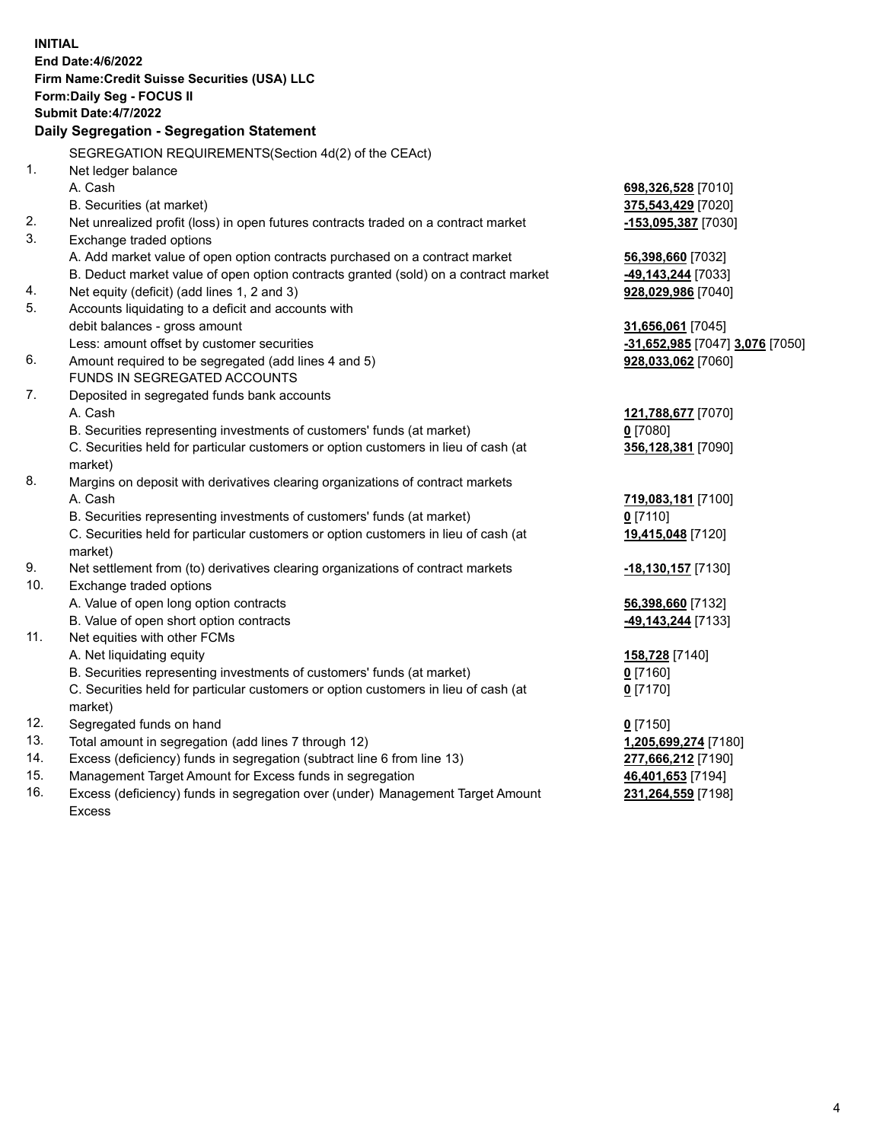|     | <b>INITIAL</b>                                                                      |                                 |
|-----|-------------------------------------------------------------------------------------|---------------------------------|
|     | End Date: 4/6/2022                                                                  |                                 |
|     | Firm Name: Credit Suisse Securities (USA) LLC                                       |                                 |
|     | Form: Daily Seg - FOCUS II                                                          |                                 |
|     | <b>Submit Date: 4/7/2022</b>                                                        |                                 |
|     | Daily Segregation - Segregation Statement                                           |                                 |
|     | SEGREGATION REQUIREMENTS(Section 4d(2) of the CEAct)                                |                                 |
| 1.  | Net ledger balance                                                                  |                                 |
|     | A. Cash                                                                             | 698,326,528 [7010]              |
|     | B. Securities (at market)                                                           | 375,543,429 [7020]              |
| 2.  | Net unrealized profit (loss) in open futures contracts traded on a contract market  | -153,095,387 [7030]             |
| 3.  | Exchange traded options                                                             |                                 |
|     | A. Add market value of open option contracts purchased on a contract market         | 56,398,660 [7032]               |
|     | B. Deduct market value of open option contracts granted (sold) on a contract market | -49,143,244 [7033]              |
| 4.  | Net equity (deficit) (add lines 1, 2 and 3)                                         | 928,029,986 [7040]              |
| 5.  | Accounts liquidating to a deficit and accounts with                                 |                                 |
|     | debit balances - gross amount                                                       | 31,656,061 [7045]               |
|     | Less: amount offset by customer securities                                          | -31,652,985 [7047] 3,076 [7050] |
| 6.  | Amount required to be segregated (add lines 4 and 5)                                | 928,033,062 [7060]              |
|     | <b>FUNDS IN SEGREGATED ACCOUNTS</b>                                                 |                                 |
| 7.  | Deposited in segregated funds bank accounts                                         |                                 |
|     | A. Cash                                                                             | 121,788,677 [7070]              |
|     | B. Securities representing investments of customers' funds (at market)              | $0$ [7080]                      |
|     | C. Securities held for particular customers or option customers in lieu of cash (at | 356,128,381 [7090]              |
|     | market)                                                                             |                                 |
| 8.  | Margins on deposit with derivatives clearing organizations of contract markets      |                                 |
|     | A. Cash                                                                             | 719,083,181 [7100]              |
|     | B. Securities representing investments of customers' funds (at market)              | $0$ [7110]                      |
|     | C. Securities held for particular customers or option customers in lieu of cash (at | 19,415,048 [7120]               |
|     | market)                                                                             |                                 |
| 9.  | Net settlement from (to) derivatives clearing organizations of contract markets     | -18,130,157 [7130]              |
| 10. | Exchange traded options                                                             |                                 |
|     | A. Value of open long option contracts                                              | 56,398,660 [7132]               |
|     | B. Value of open short option contracts                                             | -49,143,244 [7133]              |
| 11. | Net equities with other FCMs                                                        |                                 |
|     | A. Net liquidating equity                                                           | 158,728 [7140]                  |
|     | B. Securities representing investments of customers' funds (at market)              | $0$ [7160]                      |
|     | C. Securities held for particular customers or option customers in lieu of cash (at | $0$ [7170]                      |
|     | market)                                                                             |                                 |
| 12. | Segregated funds on hand                                                            | $0$ [7150]                      |
| 13. | Total amount in segregation (add lines 7 through 12)                                | 1,205,699,274 [7180]            |
| 14. | Excess (deficiency) funds in segregation (subtract line 6 from line 13)             | 277,666,212 [7190]              |
| 15. | Management Target Amount for Excess funds in segregation                            | 46,401,653 [7194]               |
| 16. | Excess (deficiency) funds in segregation over (under) Management Target Amount      | 231,264,559 [7198]              |
|     | <b>Excess</b>                                                                       |                                 |